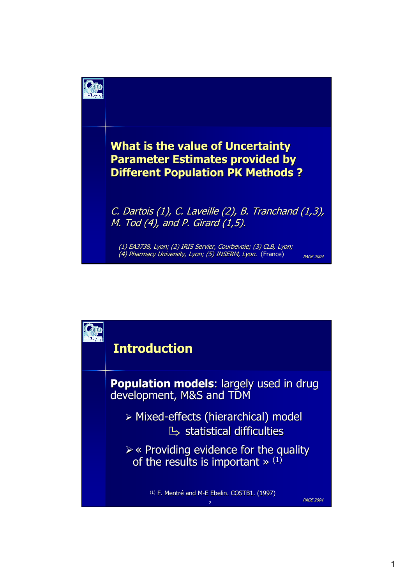

### **What is the value of Uncertainty Parameter Estimates provided by Parameter Estimates provided by Different Population PK Methods ?**

C. Dartois (1), C. Laveille (2), B. Tranchand  $(1,3)$ , M. Tod  $(4)$ , and P. Girard  $(1,5)$ .

PAGE 2004

(1) EA3738, Lyon; (2) IRIS Servier, Courbevoie; (3) CLB, Lyon; (4) Pharmacy University, Lyon; (5) INSERM, Lyon. (France)

**Introduction Introduction Population models:** largely used in drug development, M&S and TDM ¾ Mixed-effects (hierarchical) model effects (hierarchical) model  $\mathbb{B}$  statistical difficulties  $\triangleright\ll$  Providing evidence for the quality of the results is important  $\gg$  <sup>(1)</sup>

 $(1)$  F. Mentré and M-E Ebelin. COSTB1. (1997).

PAGE 2004 <sup>2</sup>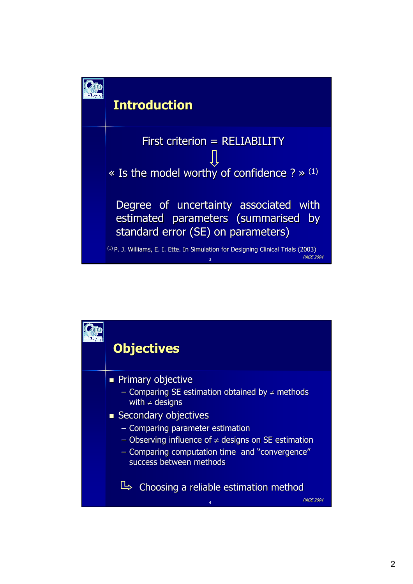

## **Introduction Introduction**

First criterion = RELIABILITY « Is the model worthy of confidence ? »  $(1)$ Degree of uncertainty associated with estimated parameters (summarised by standard error (SE) on parameters)

PAGE 2004 <sup>3</sup>  $(1)$  P. J. Wiliiams, E. I. Ette. In Simulation for Designing Clinical Trials (2003)

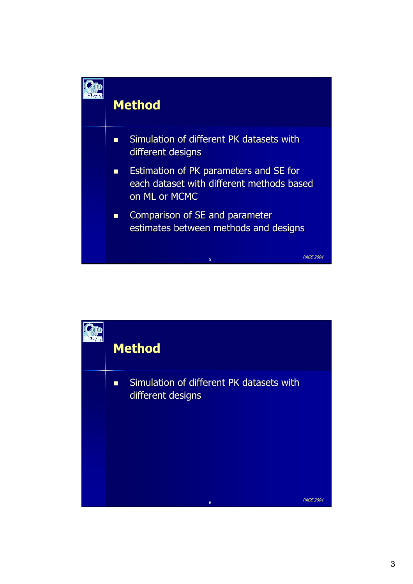

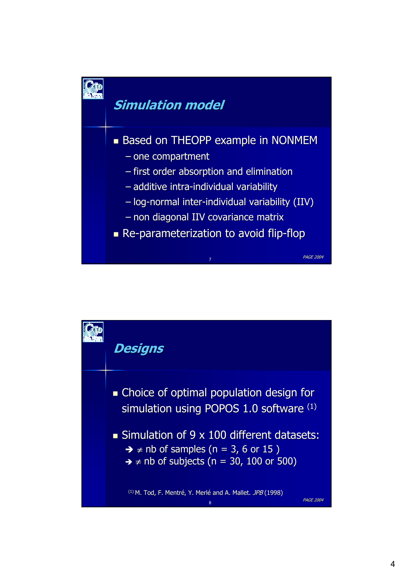

## **Simulation model Simulation model**

#### **Based on THEOPP example in NONMEM**

- $-$  one compartment
- $-$  first order absorption and elimination
- $-$  additive intra-individual variability
- $-$  log-normal inter-individual variability (IIV)

PAGE 2004 <sup>7</sup>

- non diagonal IIV covariance matrix non diagonal IIV covariance matrix
- Re-parameterization to avoid flip-flop

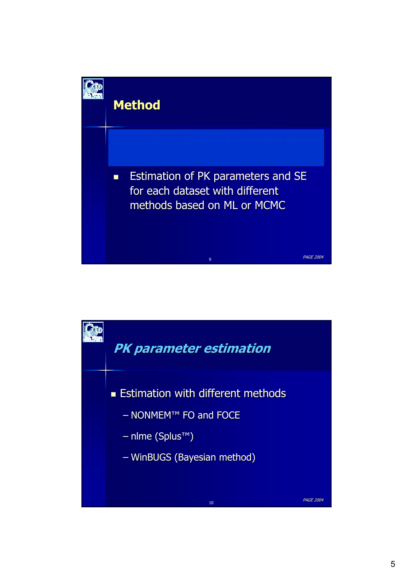

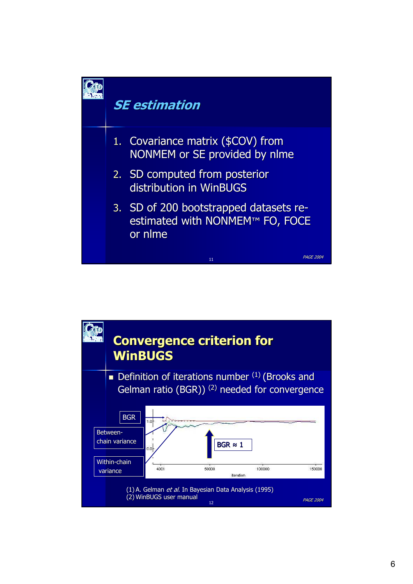

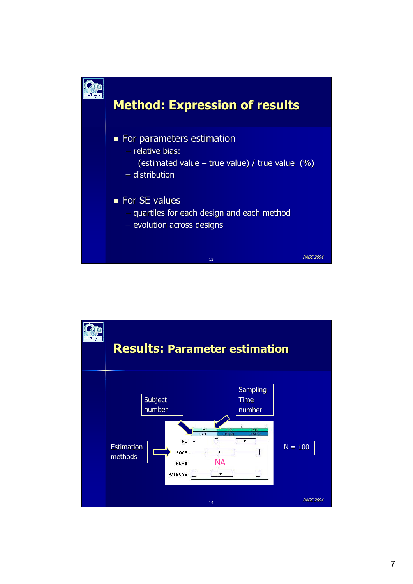

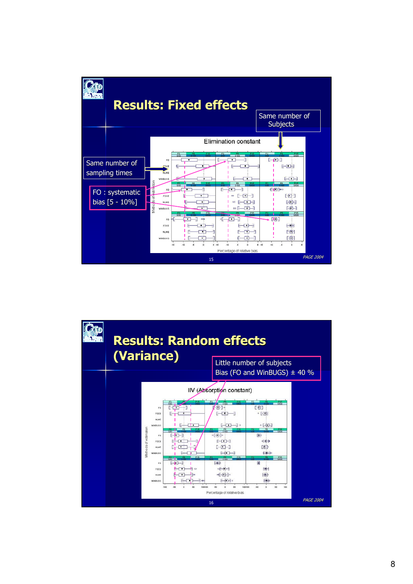

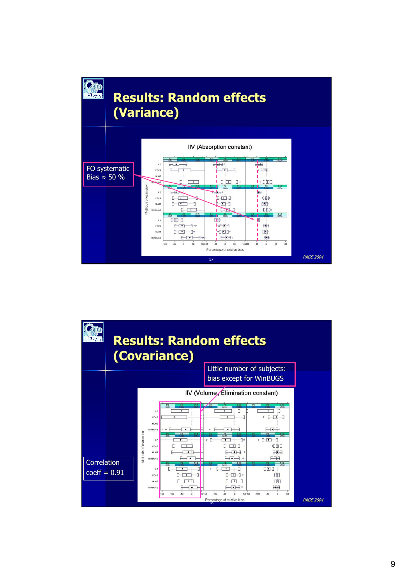

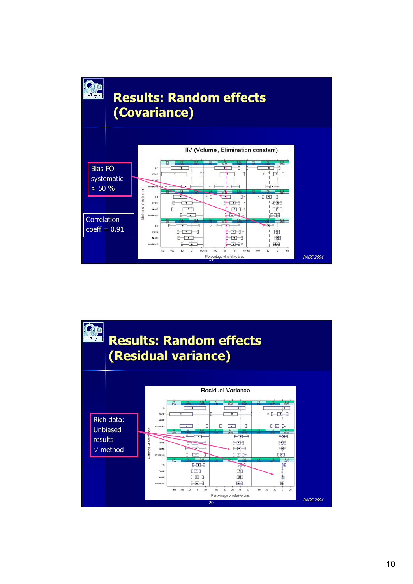

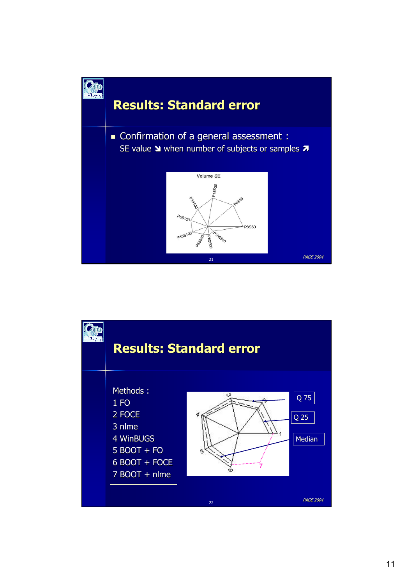

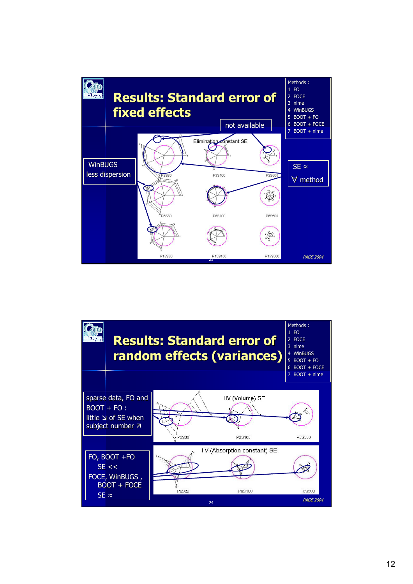

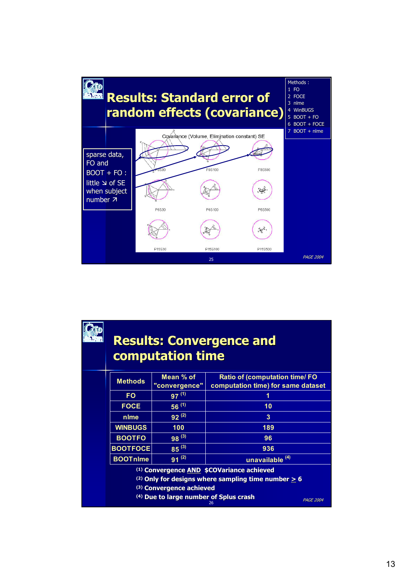

## **Results: Convergence and computation time computation time**

| <b>Methods</b>                                                              | Mean % of<br>"convergence" | <b>Ratio of (computation time/ FO</b><br>computation time) for same dataset |  |  |
|-----------------------------------------------------------------------------|----------------------------|-----------------------------------------------------------------------------|--|--|
| <b>FO</b>                                                                   | $97^{(1)}$                 |                                                                             |  |  |
| <b>FOCE</b>                                                                 | $56^{(1)}$                 | 10                                                                          |  |  |
| nlme                                                                        | $92^{(2)}$                 | 3                                                                           |  |  |
| <b>WINBUGS</b>                                                              | 100                        | 189                                                                         |  |  |
| <b>BOOTFO</b>                                                               | $98^{(3)}$                 | 96                                                                          |  |  |
| <b>BOOTFOCE</b>                                                             | $85^{(3)}$                 | 936                                                                         |  |  |
| <b>BOOTnlme</b>                                                             | $91^{(2)}$                 | unavailable <sup>(4)</sup>                                                  |  |  |
| <sup>(1)</sup> Convergence <b>AND</b> \$COVariance achieved                 |                            |                                                                             |  |  |
| <sup>(2)</sup> Only for designs where sampling time number $\geq 6$         |                            |                                                                             |  |  |
| (3) Convergence achieved                                                    |                            |                                                                             |  |  |
| <sup>(4)</sup> Due to large number of Splus crash<br><b>PAGE 2004</b><br>26 |                            |                                                                             |  |  |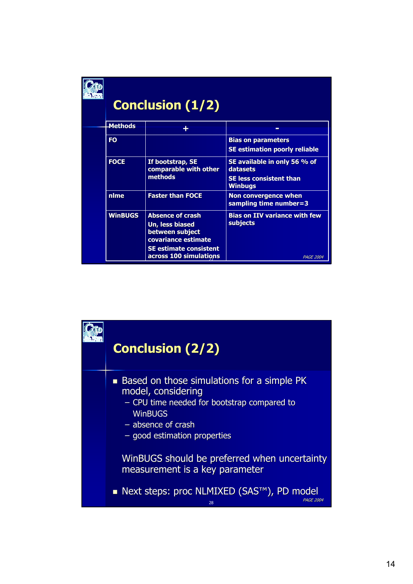

# **Conclusion (1/2) Conclusion (1/2)**

|  | <b>Methods</b>                                            |                                                             |                                                  |
|--|-----------------------------------------------------------|-------------------------------------------------------------|--------------------------------------------------|
|  |                                                           |                                                             |                                                  |
|  | <b>FO</b>                                                 |                                                             | <b>Bias on parameters</b>                        |
|  |                                                           |                                                             | <b>SE estimation poorly reliable</b>             |
|  | <b>FOCE</b>                                               | If bootstrap, SE<br>comparable with other<br><b>methods</b> | SE available in only 56 % of<br>datasets         |
|  |                                                           |                                                             | <b>SE less consistent than</b><br><b>Winbugs</b> |
|  | nlme                                                      | <b>Faster than FOCE</b>                                     | Non convergence when<br>sampling time number=3   |
|  | <b>WinBUGS</b>                                            | <b>Absence of crash</b>                                     | <b>Bias on IIV variance with few</b>             |
|  | Un, less biased<br>between subject<br>covariance estimate | subjects                                                    |                                                  |
|  |                                                           | <b>SE estimate consistent</b><br>across 100 simulations     | <b>PAGE 2004</b>                                 |